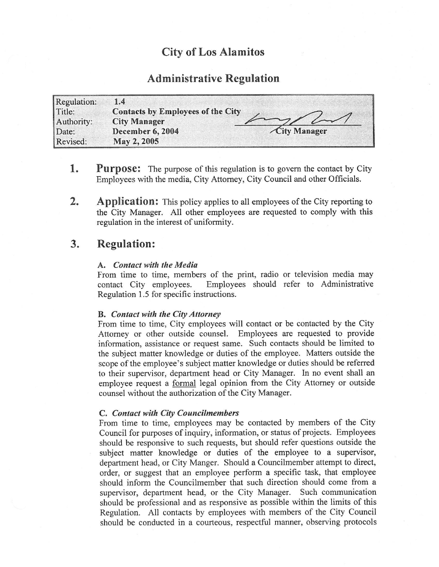# City of Los Alamitos

# Administrative Regulation

| Regulation: | 1.4                                      |              |
|-------------|------------------------------------------|--------------|
| Title:      | <b>Contacts by Employees of the City</b> |              |
| Authority:  | <b>City Manager</b>                      | 7/41         |
| Date:       | December 6, 2004                         | City Manager |
| Revised:    | May 2, 2005                              |              |

- **1.** Purpose: The purpose of this regulation is to govern the contact by City Employees with the media, City Attorney, City Council and other Officials.
- 2. Application: This policy applies to all employees of the City reporting to the City Manager. All other employees are requested to comply with this regulation in the interest of uniformity.

## 3. Regulation:

### A. Contact with the Media

From time to time, members of the print, radio or television media may contact City employees. Employees should refer to Administrative Employees should refer to Administrative Regulation 1.5 for specific instructions.

### B. Contact with the City Attorney

From time to time, City employees will contact or be contacted by the City Attorney or other outside counsel. Employees are requested to provide information, assistance or request same. Such contacts should be limited to the subject matter knowledge or duties of the employee. Matters outside the scope of the employee's subject matter knowledge or duties should be referred to their supervisor, department head or City Manager. In no event shall an employee request a formal legal opinion from the City Attorney or outside counsel without the authorization of the City Manager.

### C. Contact with City Councilmembers

From time to time, employees may be contacted by members of the City Council for purposes of inquiry, information, or status of projects. Employees should be responsive to such requests, but should refer questions outside the subject matter knowledge or duties of the employee to <sup>a</sup> supervisor, department head, or City Manger. Should a Councilmember attempt to direct, order, or suggest that an employee perform a specific task, that employee should inform the Councilmember that such direction should come from a supervisor, department head, or the City Manager. Such communication should be professional and as responsive as possible within the limits of this Regulation. All contacts by employees with members of the City Council should be conducted in <sup>a</sup> courteous, respectful manner, observing protocols